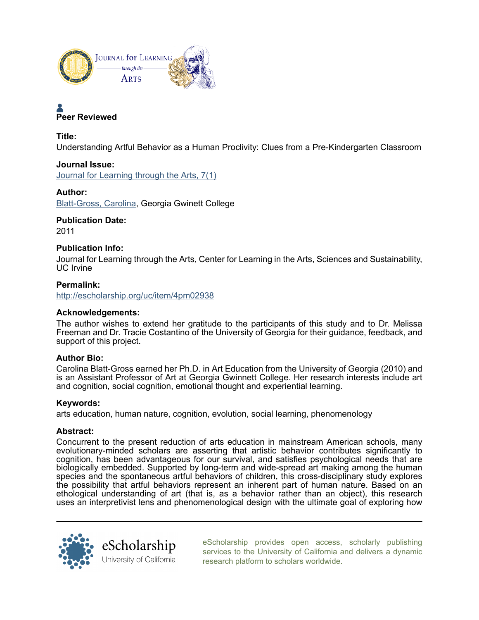

# **A**<br>Peer Reviewed

## Title:

Understanding Artful Behavior as a Human Proclivity: Clues from a Pre-Kindergarten Classroom

# Journal Issue:

[Journal for Learning through the Arts, 7\(1\)](http://escholarship.org/uc/clta_lta?volume=7;issue=1)

# Author:

[Blatt-Gross, Carolina](http://escholarship.org/uc/search?creator=Blatt-Gross%2C%20Carolina), Georgia Gwinett College

Publication Date:

2011

## Publication Info:

Journal for Learning through the Arts, Center for Learning in the Arts, Sciences and Sustainability, UC Irvine

## Permalink:

<http://escholarship.org/uc/item/4pm02938>

## Acknowledgements:

The author wishes to extend her gratitude to the participants of this study and to Dr. Melissa Freeman and Dr. Tracie Costantino of the University of Georgia for their guidance, feedback, and support of this project.

## Author Bio:

Carolina Blatt-Gross earned her Ph.D. in Art Education from the University of Georgia (2010) and is an Assistant Professor of Art at Georgia Gwinnett College. Her research interests include art and cognition, social cognition, emotional thought and experiential learning.

## Keywords:

arts education, human nature, cognition, evolution, social learning, phenomenology

## Abstract:

Concurrent to the present reduction of arts education in mainstream American schools, many evolutionary-minded scholars are asserting that artistic behavior contributes significantly to cognition, has been advantageous for our survival, and satisfies psychological needs that are biologically embedded. Supported by long-term and wide-spread art making among the human species and the spontaneous artful behaviors of children, this cross-disciplinary study explores the possibility that artful behaviors represent an inherent part of human nature. Based on an ethological understanding of art (that is, as a behavior rather than an object), this research uses an interpretivist lens and phenomenological design with the ultimate goal of exploring how



[eScholarship provides open access, scholarly publishing](http://escholarship.org) [services to the University of California and delivers a dynamic](http://escholarship.org) [research platform to scholars worldwide.](http://escholarship.org)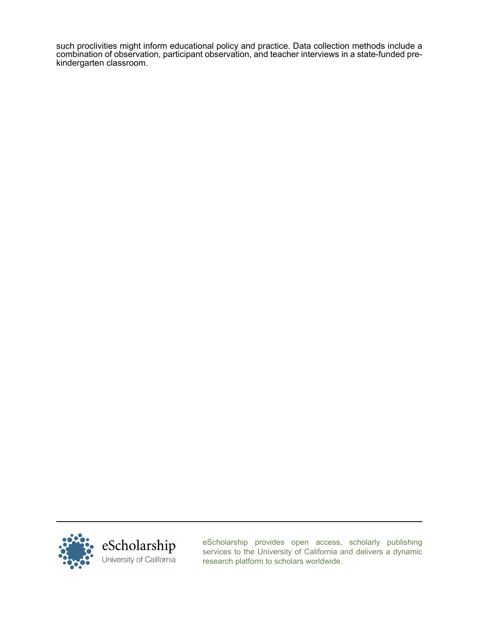such proclivities might inform educational policy and practice. Data collection methods include a combination of observation, participant observation, and teacher interviews in a state-funded prekindergarten classroom.



[eScholarship provides open access, scholarly publishing](http://escholarship.org) [services to the University of California and delivers a dynamic](http://escholarship.org) [research platform to scholars worldwide.](http://escholarship.org)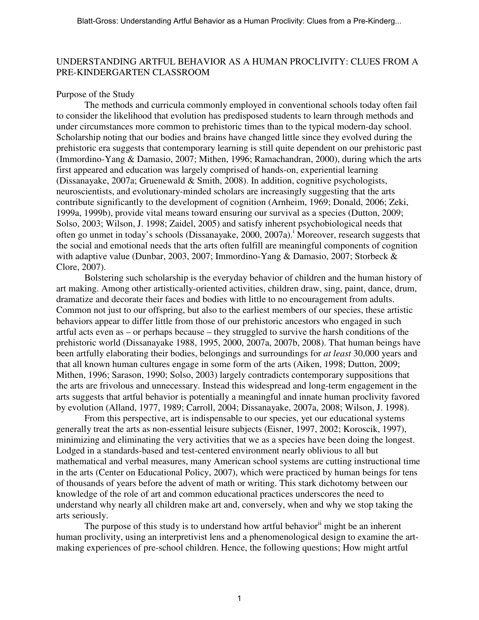# UNDERSTANDING ARTFUL BEHAVIOR AS A HUMAN PROCLIVITY: CLUES FROM A PRE-KINDERGARTEN CLASSROOM

## Purpose of the Study

The methods and curricula commonly employed in conventional schools today often fail to consider the likelihood that evolution has predisposed students to learn through methods and under circumstances more common to prehistoric times than to the typical modern-day school. Scholarship noting that our bodies and brains have changed little since they evolved during the prehistoric era suggests that contemporary learning is still quite dependent on our prehistoric past (Immordino-Yang & Damasio, 2007; Mithen, 1996; Ramachandran, 2000), during which the arts first appeared and education was largely comprised of hands-on, experiential learning (Dissanayake, 2007a; Gruenewald & Smith, 2008). In addition, cognitive psychologists, neuroscientists, and evolutionary-minded scholars are increasingly suggesting that the arts contribute significantly to the development of cognition (Arnheim, 1969; Donald, 2006; Zeki, 1999a, 1999b), provide vital means toward ensuring our survival as a species (Dutton, 2009; Solso, 2003; Wilson, J. 1998; Zaidel, 2005) and satisfy inherent psychobiological needs that often go unmet in today's schools (Dissanayake, 2000, 2007a).<sup>i</sup> Moreover, research suggests that the social and emotional needs that the arts often fulfill are meaningful components of cognition with adaptive value (Dunbar, 2003, 2007; Immordino-Yang & Damasio, 2007; Storbeck & Clore, 2007).

Bolstering such scholarship is the everyday behavior of children and the human history of art making. Among other artistically-oriented activities, children draw, sing, paint, dance, drum, dramatize and decorate their faces and bodies with little to no encouragement from adults. Common not just to our offspring, but also to the earliest members of our species, these artistic behaviors appear to differ little from those of our prehistoric ancestors who engaged in such artful acts even as – or perhaps because – they struggled to survive the harsh conditions of the prehistoric world (Dissanayake 1988, 1995, 2000, 2007a, 2007b, 2008). That human beings have been artfully elaborating their bodies, belongings and surroundings for *at least* 30,000 years and that all known human cultures engage in some form of the arts (Aiken, 1998; Dutton, 2009; Mithen, 1996; Sarason, 1990; Solso, 2003) largely contradicts contemporary suppositions that the arts are frivolous and unnecessary. Instead this widespread and long-term engagement in the arts suggests that artful behavior is potentially a meaningful and innate human proclivity favored by evolution (Alland, 1977, 1989; Carroll, 2004; Dissanayake, 2007a, 2008; Wilson, J. 1998).

From this perspective, art is indispensable to our species, yet our educational systems generally treat the arts as non-essential leisure subjects (Eisner, 1997, 2002; Koroscik, 1997), minimizing and eliminating the very activities that we as a species have been doing the longest. Lodged in a standards-based and test-centered environment nearly oblivious to all but mathematical and verbal measures, many American school systems are cutting instructional time in the arts (Center on Educational Policy, 2007), which were practiced by human beings for tens of thousands of years before the advent of math or writing. This stark dichotomy between our knowledge of the role of art and common educational practices underscores the need to understand why nearly all children make art and, conversely, when and why we stop taking the arts seriously.

The purpose of this study is to understand how artful behavior<sup>ii</sup> might be an inherent human proclivity, using an interpretivist lens and a phenomenological design to examine the artmaking experiences of pre-school children. Hence, the following questions; How might artful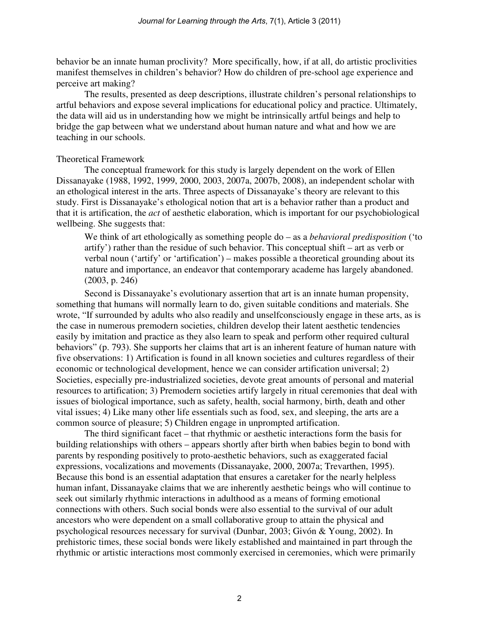behavior be an innate human proclivity? More specifically, how, if at all, do artistic proclivities manifest themselves in children's behavior? How do children of pre-school age experience and perceive art making?

The results, presented as deep descriptions, illustrate children's personal relationships to artful behaviors and expose several implications for educational policy and practice. Ultimately, the data will aid us in understanding how we might be intrinsically artful beings and help to bridge the gap between what we understand about human nature and what and how we are teaching in our schools.

#### Theoretical Framework

The conceptual framework for this study is largely dependent on the work of Ellen Dissanayake (1988, 1992, 1999, 2000, 2003, 2007a, 2007b, 2008), an independent scholar with an ethological interest in the arts. Three aspects of Dissanayake's theory are relevant to this study. First is Dissanayake's ethological notion that art is a behavior rather than a product and that it is artification, the *act* of aesthetic elaboration, which is important for our psychobiological wellbeing. She suggests that:

We think of art ethologically as something people do – as a *behavioral predisposition* ('to artify') rather than the residue of such behavior. This conceptual shift – art as verb or verbal noun ('artify' or 'artification') – makes possible a theoretical grounding about its nature and importance, an endeavor that contemporary academe has largely abandoned. (2003, p. 246)

Second is Dissanayake's evolutionary assertion that art is an innate human propensity, something that humans will normally learn to do, given suitable conditions and materials. She wrote, "If surrounded by adults who also readily and unselfconsciously engage in these arts, as is the case in numerous premodern societies, children develop their latent aesthetic tendencies easily by imitation and practice as they also learn to speak and perform other required cultural behaviors" (p. 793). She supports her claims that art is an inherent feature of human nature with five observations: 1) Artification is found in all known societies and cultures regardless of their economic or technological development, hence we can consider artification universal; 2) Societies, especially pre-industrialized societies, devote great amounts of personal and material resources to artification; 3) Premodern societies artify largely in ritual ceremonies that deal with issues of biological importance, such as safety, health, social harmony, birth, death and other vital issues; 4) Like many other life essentials such as food, sex, and sleeping, the arts are a common source of pleasure; 5) Children engage in unprompted artification.

The third significant facet – that rhythmic or aesthetic interactions form the basis for building relationships with others – appears shortly after birth when babies begin to bond with parents by responding positively to proto-aesthetic behaviors, such as exaggerated facial expressions, vocalizations and movements (Dissanayake, 2000, 2007a; Trevarthen, 1995). Because this bond is an essential adaptation that ensures a caretaker for the nearly helpless human infant, Dissanayake claims that we are inherently aesthetic beings who will continue to seek out similarly rhythmic interactions in adulthood as a means of forming emotional connections with others. Such social bonds were also essential to the survival of our adult ancestors who were dependent on a small collaborative group to attain the physical and psychological resources necessary for survival (Dunbar, 2003; Givón & Young, 2002). In prehistoric times, these social bonds were likely established and maintained in part through the rhythmic or artistic interactions most commonly exercised in ceremonies, which were primarily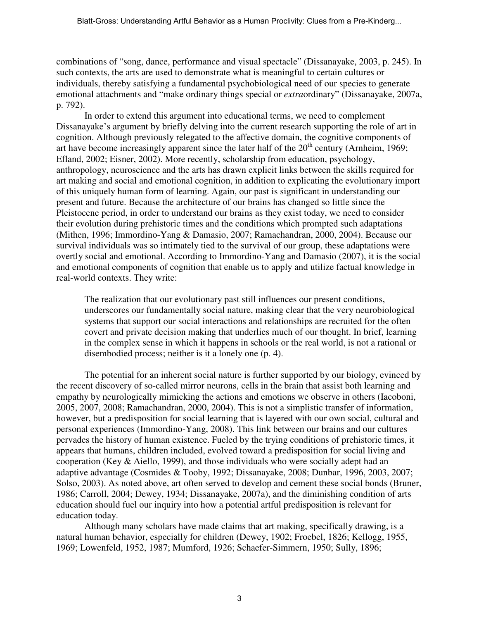combinations of "song, dance, performance and visual spectacle" (Dissanayake, 2003, p. 245). In such contexts, the arts are used to demonstrate what is meaningful to certain cultures or individuals, thereby satisfying a fundamental psychobiological need of our species to generate emotional attachments and "make ordinary things special or *extra*ordinary" (Dissanayake, 2007a, p. 792).

In order to extend this argument into educational terms, we need to complement Dissanayake's argument by briefly delving into the current research supporting the role of art in cognition. Although previously relegated to the affective domain, the cognitive components of art have become increasingly apparent since the later half of the  $20<sup>th</sup>$  century (Arnheim, 1969; Efland, 2002; Eisner, 2002). More recently, scholarship from education, psychology, anthropology, neuroscience and the arts has drawn explicit links between the skills required for art making and social and emotional cognition, in addition to explicating the evolutionary import of this uniquely human form of learning. Again, our past is significant in understanding our present and future. Because the architecture of our brains has changed so little since the Pleistocene period, in order to understand our brains as they exist today, we need to consider their evolution during prehistoric times and the conditions which prompted such adaptations (Mithen, 1996; Immordino-Yang & Damasio, 2007; Ramachandran, 2000, 2004). Because our survival individuals was so intimately tied to the survival of our group, these adaptations were overtly social and emotional. According to Immordino-Yang and Damasio (2007), it is the social and emotional components of cognition that enable us to apply and utilize factual knowledge in real-world contexts. They write:

The realization that our evolutionary past still influences our present conditions, underscores our fundamentally social nature, making clear that the very neurobiological systems that support our social interactions and relationships are recruited for the often covert and private decision making that underlies much of our thought. In brief, learning in the complex sense in which it happens in schools or the real world, is not a rational or disembodied process; neither is it a lonely one (p. 4).

The potential for an inherent social nature is further supported by our biology, evinced by the recent discovery of so-called mirror neurons, cells in the brain that assist both learning and empathy by neurologically mimicking the actions and emotions we observe in others (Iacoboni, 2005, 2007, 2008; Ramachandran, 2000, 2004). This is not a simplistic transfer of information, however, but a predisposition for social learning that is layered with our own social, cultural and personal experiences (Immordino-Yang, 2008). This link between our brains and our cultures pervades the history of human existence. Fueled by the trying conditions of prehistoric times, it appears that humans, children included, evolved toward a predisposition for social living and cooperation (Key & Aiello, 1999), and those individuals who were socially adept had an adaptive advantage (Cosmides & Tooby, 1992; Dissanayake, 2008; Dunbar, 1996, 2003, 2007; Solso, 2003). As noted above, art often served to develop and cement these social bonds (Bruner, 1986; Carroll, 2004; Dewey, 1934; Dissanayake, 2007a), and the diminishing condition of arts education should fuel our inquiry into how a potential artful predisposition is relevant for education today.

Although many scholars have made claims that art making, specifically drawing, is a natural human behavior, especially for children (Dewey, 1902; Froebel, 1826; Kellogg, 1955, 1969; Lowenfeld, 1952, 1987; Mumford, 1926; Schaefer-Simmern, 1950; Sully, 1896;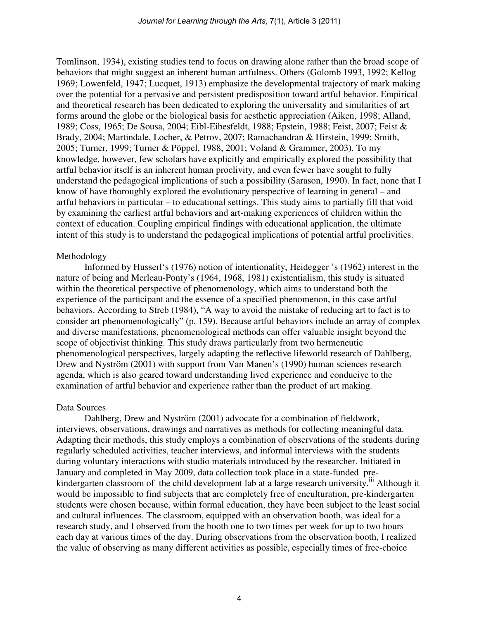Tomlinson, 1934), existing studies tend to focus on drawing alone rather than the broad scope of behaviors that might suggest an inherent human artfulness. Others (Golomb 1993, 1992; Kellog 1969; Lowenfeld, 1947; Lucquet, 1913) emphasize the developmental trajectory of mark making over the potential for a pervasive and persistent predisposition toward artful behavior. Empirical and theoretical research has been dedicated to exploring the universality and similarities of art forms around the globe or the biological basis for aesthetic appreciation (Aiken, 1998; Alland, 1989; Coss, 1965; De Sousa, 2004; Eibl-Eibesfeldt, 1988; Epstein, 1988; Feist, 2007; Feist & Brady, 2004; Martindale, Locher, & Petrov, 2007; Ramachandran & Hirstein, 1999; Smith, 2005; Turner, 1999; Turner & Pöppel, 1988, 2001; Voland & Grammer, 2003). To my knowledge, however, few scholars have explicitly and empirically explored the possibility that artful behavior itself is an inherent human proclivity, and even fewer have sought to fully understand the pedagogical implications of such a possibility (Sarason, 1990). In fact, none that I know of have thoroughly explored the evolutionary perspective of learning in general – and artful behaviors in particular – to educational settings. This study aims to partially fill that void by examining the earliest artful behaviors and art-making experiences of children within the context of education. Coupling empirical findings with educational application, the ultimate intent of this study is to understand the pedagogical implications of potential artful proclivities.

## Methodology

Informed by Husserl's (1976) notion of intentionality, Heidegger 's (1962) interest in the nature of being and Merleau-Ponty's (1964, 1968, 1981) existentialism, this study is situated within the theoretical perspective of phenomenology, which aims to understand both the experience of the participant and the essence of a specified phenomenon, in this case artful behaviors. According to Streb (1984), "A way to avoid the mistake of reducing art to fact is to consider art phenomenologically" (p. 159). Because artful behaviors include an array of complex and diverse manifestations, phenomenological methods can offer valuable insight beyond the scope of objectivist thinking. This study draws particularly from two hermeneutic phenomenological perspectives, largely adapting the reflective lifeworld research of Dahlberg, Drew and Nyström (2001) with support from Van Manen's (1990) human sciences research agenda, which is also geared toward understanding lived experience and conducive to the examination of artful behavior and experience rather than the product of art making.

#### Data Sources

Dahlberg, Drew and Nyström (2001) advocate for a combination of fieldwork, interviews, observations, drawings and narratives as methods for collecting meaningful data. Adapting their methods, this study employs a combination of observations of the students during regularly scheduled activities, teacher interviews, and informal interviews with the students during voluntary interactions with studio materials introduced by the researcher. Initiated in January and completed in May 2009, data collection took place in a state-funded prekindergarten classroom of the child development lab at a large research university.<sup>iii</sup> Although it would be impossible to find subjects that are completely free of enculturation, pre-kindergarten students were chosen because, within formal education, they have been subject to the least social and cultural influences. The classroom, equipped with an observation booth, was ideal for a research study, and I observed from the booth one to two times per week for up to two hours each day at various times of the day. During observations from the observation booth, I realized the value of observing as many different activities as possible, especially times of free-choice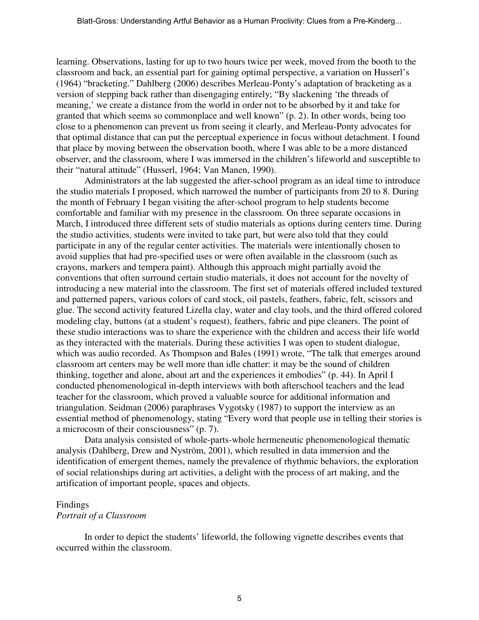learning. Observations, lasting for up to two hours twice per week, moved from the booth to the classroom and back, an essential part for gaining optimal perspective, a variation on Husserl's (1964) "bracketing." Dahlberg (2006) describes Merleau-Ponty's adaptation of bracketing as a version of stepping back rather than disengaging entirely; "By slackening 'the threads of meaning,' we create a distance from the world in order not to be absorbed by it and take for granted that which seems so commonplace and well known" (p. 2). In other words, being too close to a phenomenon can prevent us from seeing it clearly, and Merleau-Ponty advocates for that optimal distance that can put the perceptual experience in focus without detachment. I found that place by moving between the observation booth, where I was able to be a more distanced observer, and the classroom, where I was immersed in the children's lifeworld and susceptible to their "natural attitude" (Husserl, 1964; Van Manen, 1990).

Administrators at the lab suggested the after-school program as an ideal time to introduce the studio materials I proposed, which narrowed the number of participants from 20 to 8. During the month of February I began visiting the after-school program to help students become comfortable and familiar with my presence in the classroom. On three separate occasions in March, I introduced three different sets of studio materials as options during centers time. During the studio activities, students were invited to take part, but were also told that they could participate in any of the regular center activities. The materials were intentionally chosen to avoid supplies that had pre-specified uses or were often available in the classroom (such as crayons, markers and tempera paint). Although this approach might partially avoid the conventions that often surround certain studio materials, it does not account for the novelty of introducing a new material into the classroom. The first set of materials offered included textured and patterned papers, various colors of card stock, oil pastels, feathers, fabric, felt, scissors and glue. The second activity featured Lizella clay, water and clay tools, and the third offered colored modeling clay, buttons (at a student's request), feathers, fabric and pipe cleaners. The point of these studio interactions was to share the experience with the children and access their life world as they interacted with the materials. During these activities I was open to student dialogue, which was audio recorded. As Thompson and Bales (1991) wrote, "The talk that emerges around classroom art centers may be well more than idle chatter: it may be the sound of children thinking, together and alone, about art and the experiences it embodies" (p. 44). In April I conducted phenomenological in-depth interviews with both afterschool teachers and the lead teacher for the classroom, which proved a valuable source for additional information and triangulation. Seidman (2006) paraphrases Vygotsky (1987) to support the interview as an essential method of phenomenology, stating "Every word that people use in telling their stories is a microcosm of their consciousness" (p. 7).

Data analysis consisted of whole-parts-whole hermeneutic phenomenological thematic analysis (Dahlberg, Drew and Nyström, 2001), which resulted in data immersion and the identification of emergent themes, namely the prevalence of rhythmic behaviors, the exploration of social relationships during art activities, a delight with the process of art making, and the artification of important people, spaces and objects.

### Findings

## *Portrait of a Classroom*

In order to depict the students' lifeworld, the following vignette describes events that occurred within the classroom.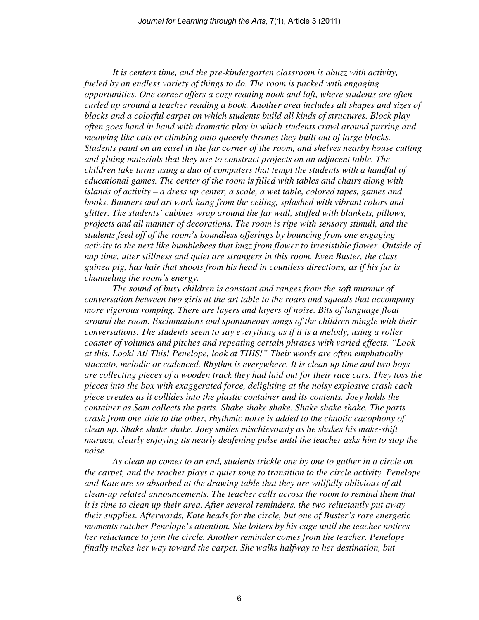*It is centers time, and the pre-kindergarten classroom is abuzz with activity, fueled by an endless variety of things to do. The room is packed with engaging opportunities. One corner offers a cozy reading nook and loft, where students are often curled up around a teacher reading a book. Another area includes all shapes and sizes of blocks and a colorful carpet on which students build all kinds of structures. Block play often goes hand in hand with dramatic play in which students crawl around purring and meowing like cats or climbing onto queenly thrones they built out of large blocks. Students paint on an easel in the far corner of the room, and shelves nearby house cutting and gluing materials that they use to construct projects on an adjacent table. The children take turns using a duo of computers that tempt the students with a handful of educational games. The center of the room is filled with tables and chairs along with islands of activity – a dress up center, a scale, a wet table, colored tapes, games and books. Banners and art work hang from the ceiling, splashed with vibrant colors and glitter. The students' cubbies wrap around the far wall, stuffed with blankets, pillows, projects and all manner of decorations. The room is ripe with sensory stimuli, and the students feed off of the room's boundless offerings by bouncing from one engaging activity to the next like bumblebees that buzz from flower to irresistible flower. Outside of nap time, utter stillness and quiet are strangers in this room. Even Buster, the class guinea pig, has hair that shoots from his head in countless directions, as if his fur is channeling the room's energy.* 

*The sound of busy children is constant and ranges from the soft murmur of conversation between two girls at the art table to the roars and squeals that accompany more vigorous romping. There are layers and layers of noise. Bits of language float around the room. Exclamations and spontaneous songs of the children mingle with their conversations. The students seem to say everything as if it is a melody, using a roller coaster of volumes and pitches and repeating certain phrases with varied effects. "Look at this. Look! At! This! Penelope, look at THIS!" Their words are often emphatically staccato, melodic or cadenced. Rhythm is everywhere. It is clean up time and two boys are collecting pieces of a wooden track they had laid out for their race cars. They toss the pieces into the box with exaggerated force, delighting at the noisy explosive crash each piece creates as it collides into the plastic container and its contents. Joey holds the container as Sam collects the parts. Shake shake shake. Shake shake shake. The parts crash from one side to the other, rhythmic noise is added to the chaotic cacophony of clean up. Shake shake shake. Joey smiles mischievously as he shakes his make-shift maraca, clearly enjoying its nearly deafening pulse until the teacher asks him to stop the noise.* 

*As clean up comes to an end, students trickle one by one to gather in a circle on the carpet, and the teacher plays a quiet song to transition to the circle activity. Penelope and Kate are so absorbed at the drawing table that they are willfully oblivious of all clean-up related announcements. The teacher calls across the room to remind them that it is time to clean up their area. After several reminders, the two reluctantly put away their supplies. Afterwards, Kate heads for the circle, but one of Buster's rare energetic moments catches Penelope's attention. She loiters by his cage until the teacher notices her reluctance to join the circle. Another reminder comes from the teacher. Penelope finally makes her way toward the carpet. She walks halfway to her destination, but*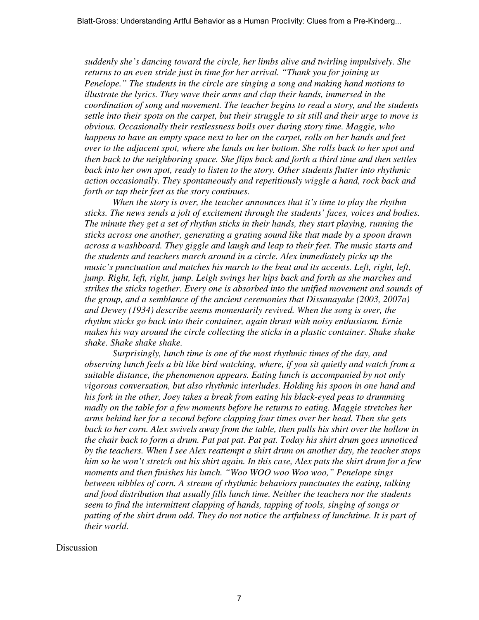*suddenly she's dancing toward the circle, her limbs alive and twirling impulsively. She returns to an even stride just in time for her arrival. "Thank you for joining us Penelope." The students in the circle are singing a song and making hand motions to illustrate the lyrics. They wave their arms and clap their hands, immersed in the coordination of song and movement. The teacher begins to read a story, and the students settle into their spots on the carpet, but their struggle to sit still and their urge to move is obvious. Occasionally their restlessness boils over during story time. Maggie, who happens to have an empty space next to her on the carpet, rolls on her hands and feet over to the adjacent spot, where she lands on her bottom. She rolls back to her spot and then back to the neighboring space. She flips back and forth a third time and then settles back into her own spot, ready to listen to the story. Other students flutter into rhythmic action occasionally. They spontaneously and repetitiously wiggle a hand, rock back and forth or tap their feet as the story continues.* 

*When the story is over, the teacher announces that it's time to play the rhythm sticks. The news sends a jolt of excitement through the students' faces, voices and bodies. The minute they get a set of rhythm sticks in their hands, they start playing, running the sticks across one another, generating a grating sound like that made by a spoon drawn across a washboard. They giggle and laugh and leap to their feet. The music starts and the students and teachers march around in a circle. Alex immediately picks up the music's punctuation and matches his march to the beat and its accents. Left, right, left, jump. Right, left, right, jump. Leigh swings her hips back and forth as she marches and strikes the sticks together. Every one is absorbed into the unified movement and sounds of the group, and a semblance of the ancient ceremonies that Dissanayake (2003, 2007a) and Dewey (1934) describe seems momentarily revived. When the song is over, the rhythm sticks go back into their container, again thrust with noisy enthusiasm. Ernie makes his way around the circle collecting the sticks in a plastic container. Shake shake shake. Shake shake shake.* 

 *Surprisingly, lunch time is one of the most rhythmic times of the day, and observing lunch feels a bit like bird watching, where, if you sit quietly and watch from a suitable distance, the phenomenon appears. Eating lunch is accompanied by not only vigorous conversation, but also rhythmic interludes. Holding his spoon in one hand and his fork in the other, Joey takes a break from eating his black-eyed peas to drumming madly on the table for a few moments before he returns to eating. Maggie stretches her arms behind her for a second before clapping four times over her head. Then she gets back to her corn. Alex swivels away from the table, then pulls his shirt over the hollow in the chair back to form a drum. Pat pat pat. Pat pat. Today his shirt drum goes unnoticed by the teachers. When I see Alex reattempt a shirt drum on another day, the teacher stops him so he won't stretch out his shirt again. In this case, Alex pats the shirt drum for a few moments and then finishes his lunch. "Woo WOO woo Woo woo," Penelope sings between nibbles of corn. A stream of rhythmic behaviors punctuates the eating, talking and food distribution that usually fills lunch time. Neither the teachers nor the students seem to find the intermittent clapping of hands, tapping of tools, singing of songs or patting of the shirt drum odd. They do not notice the artfulness of lunchtime. It is part of their world.* 

Discussion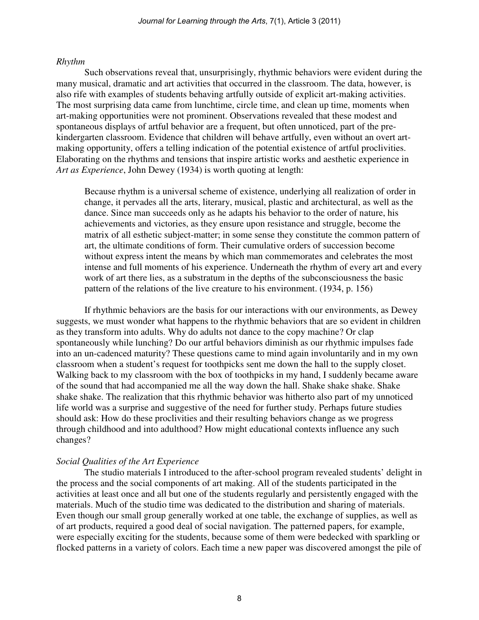#### *Rhythm*

Such observations reveal that, unsurprisingly, rhythmic behaviors were evident during the many musical, dramatic and art activities that occurred in the classroom. The data, however, is also rife with examples of students behaving artfully outside of explicit art-making activities. The most surprising data came from lunchtime, circle time, and clean up time, moments when art-making opportunities were not prominent. Observations revealed that these modest and spontaneous displays of artful behavior are a frequent, but often unnoticed, part of the prekindergarten classroom. Evidence that children will behave artfully, even without an overt artmaking opportunity, offers a telling indication of the potential existence of artful proclivities. Elaborating on the rhythms and tensions that inspire artistic works and aesthetic experience in *Art as Experience*, John Dewey (1934) is worth quoting at length:

Because rhythm is a universal scheme of existence, underlying all realization of order in change, it pervades all the arts, literary, musical, plastic and architectural, as well as the dance. Since man succeeds only as he adapts his behavior to the order of nature, his achievements and victories, as they ensure upon resistance and struggle, become the matrix of all esthetic subject-matter; in some sense they constitute the common pattern of art, the ultimate conditions of form. Their cumulative orders of succession become without express intent the means by which man commemorates and celebrates the most intense and full moments of his experience. Underneath the rhythm of every art and every work of art there lies, as a substratum in the depths of the subconsciousness the basic pattern of the relations of the live creature to his environment. (1934, p. 156)

If rhythmic behaviors are the basis for our interactions with our environments, as Dewey suggests, we must wonder what happens to the rhythmic behaviors that are so evident in children as they transform into adults. Why do adults not dance to the copy machine? Or clap spontaneously while lunching? Do our artful behaviors diminish as our rhythmic impulses fade into an un-cadenced maturity? These questions came to mind again involuntarily and in my own classroom when a student's request for toothpicks sent me down the hall to the supply closet. Walking back to my classroom with the box of toothpicks in my hand, I suddenly became aware of the sound that had accompanied me all the way down the hall. Shake shake shake. Shake shake shake. The realization that this rhythmic behavior was hitherto also part of my unnoticed life world was a surprise and suggestive of the need for further study. Perhaps future studies should ask: How do these proclivities and their resulting behaviors change as we progress through childhood and into adulthood? How might educational contexts influence any such changes?

## *Social Qualities of the Art Experience*

The studio materials I introduced to the after-school program revealed students' delight in the process and the social components of art making. All of the students participated in the activities at least once and all but one of the students regularly and persistently engaged with the materials. Much of the studio time was dedicated to the distribution and sharing of materials. Even though our small group generally worked at one table, the exchange of supplies, as well as of art products, required a good deal of social navigation. The patterned papers, for example, were especially exciting for the students, because some of them were bedecked with sparkling or flocked patterns in a variety of colors. Each time a new paper was discovered amongst the pile of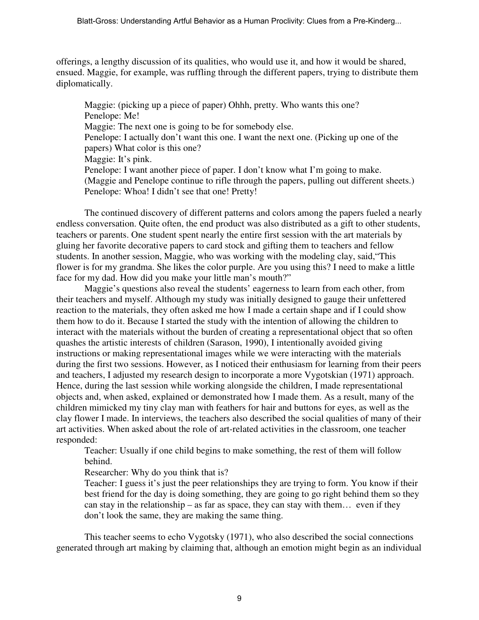offerings, a lengthy discussion of its qualities, who would use it, and how it would be shared, ensued. Maggie, for example, was ruffling through the different papers, trying to distribute them diplomatically.

Maggie: (picking up a piece of paper) Ohhh, pretty. Who wants this one? Penelope: Me! Maggie: The next one is going to be for somebody else. Penelope: I actually don't want this one. I want the next one. (Picking up one of the papers) What color is this one? Maggie: It's pink. Penelope: I want another piece of paper. I don't know what I'm going to make. (Maggie and Penelope continue to rifle through the papers, pulling out different sheets.) Penelope: Whoa! I didn't see that one! Pretty!

The continued discovery of different patterns and colors among the papers fueled a nearly endless conversation. Quite often, the end product was also distributed as a gift to other students, teachers or parents. One student spent nearly the entire first session with the art materials by gluing her favorite decorative papers to card stock and gifting them to teachers and fellow students. In another session, Maggie, who was working with the modeling clay, said,"This flower is for my grandma. She likes the color purple. Are you using this? I need to make a little face for my dad. How did you make your little man's mouth?"

Maggie's questions also reveal the students' eagerness to learn from each other, from their teachers and myself. Although my study was initially designed to gauge their unfettered reaction to the materials, they often asked me how I made a certain shape and if I could show them how to do it. Because I started the study with the intention of allowing the children to interact with the materials without the burden of creating a representational object that so often quashes the artistic interests of children (Sarason, 1990), I intentionally avoided giving instructions or making representational images while we were interacting with the materials during the first two sessions. However, as I noticed their enthusiasm for learning from their peers and teachers, I adjusted my research design to incorporate a more Vygotskian (1971) approach. Hence, during the last session while working alongside the children, I made representational objects and, when asked, explained or demonstrated how I made them. As a result, many of the children mimicked my tiny clay man with feathers for hair and buttons for eyes, as well as the clay flower I made. In interviews, the teachers also described the social qualities of many of their art activities. When asked about the role of art-related activities in the classroom, one teacher responded:

Teacher: Usually if one child begins to make something, the rest of them will follow behind.

Researcher: Why do you think that is?

Teacher: I guess it's just the peer relationships they are trying to form. You know if their best friend for the day is doing something, they are going to go right behind them so they can stay in the relationship – as far as space, they can stay with them… even if they don't look the same, they are making the same thing.

This teacher seems to echo Vygotsky (1971), who also described the social connections generated through art making by claiming that, although an emotion might begin as an individual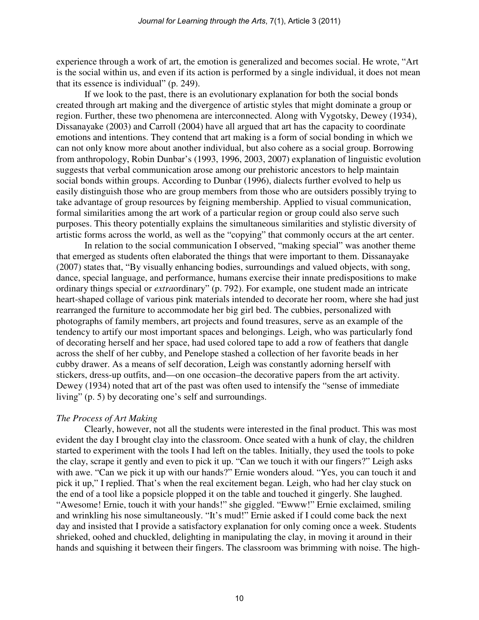experience through a work of art, the emotion is generalized and becomes social. He wrote, "Art is the social within us, and even if its action is performed by a single individual, it does not mean that its essence is individual" (p. 249).

If we look to the past, there is an evolutionary explanation for both the social bonds created through art making and the divergence of artistic styles that might dominate a group or region. Further, these two phenomena are interconnected. Along with Vygotsky, Dewey (1934), Dissanayake (2003) and Carroll (2004) have all argued that art has the capacity to coordinate emotions and intentions. They contend that art making is a form of social bonding in which we can not only know more about another individual, but also cohere as a social group. Borrowing from anthropology, Robin Dunbar's (1993, 1996, 2003, 2007) explanation of linguistic evolution suggests that verbal communication arose among our prehistoric ancestors to help maintain social bonds within groups. According to Dunbar (1996), dialects further evolved to help us easily distinguish those who are group members from those who are outsiders possibly trying to take advantage of group resources by feigning membership. Applied to visual communication, formal similarities among the art work of a particular region or group could also serve such purposes. This theory potentially explains the simultaneous similarities and stylistic diversity of artistic forms across the world, as well as the "copying" that commonly occurs at the art center.

In relation to the social communication I observed, "making special" was another theme that emerged as students often elaborated the things that were important to them. Dissanayake (2007) states that, "By visually enhancing bodies, surroundings and valued objects, with song, dance, special language, and performance, humans exercise their innate predispositions to make ordinary things special or *extra*ordinary" (p. 792). For example, one student made an intricate heart-shaped collage of various pink materials intended to decorate her room, where she had just rearranged the furniture to accommodate her big girl bed. The cubbies, personalized with photographs of family members, art projects and found treasures, serve as an example of the tendency to artify our most important spaces and belongings. Leigh, who was particularly fond of decorating herself and her space, had used colored tape to add a row of feathers that dangle across the shelf of her cubby, and Penelope stashed a collection of her favorite beads in her cubby drawer. As a means of self decoration, Leigh was constantly adorning herself with stickers, dress-up outfits, and—on one occasion–the decorative papers from the art activity. Dewey (1934) noted that art of the past was often used to intensify the "sense of immediate living" (p. 5) by decorating one's self and surroundings.

#### *The Process of Art Making*

Clearly, however, not all the students were interested in the final product. This was most evident the day I brought clay into the classroom. Once seated with a hunk of clay, the children started to experiment with the tools I had left on the tables. Initially, they used the tools to poke the clay, scrape it gently and even to pick it up. "Can we touch it with our fingers?" Leigh asks with awe. "Can we pick it up with our hands?" Ernie wonders aloud. "Yes, you can touch it and pick it up," I replied. That's when the real excitement began. Leigh, who had her clay stuck on the end of a tool like a popsicle plopped it on the table and touched it gingerly. She laughed. "Awesome! Ernie, touch it with your hands!" she giggled. "Ewww!" Ernie exclaimed, smiling and wrinkling his nose simultaneously. "It's mud!" Ernie asked if I could come back the next day and insisted that I provide a satisfactory explanation for only coming once a week. Students shrieked, oohed and chuckled, delighting in manipulating the clay, in moving it around in their hands and squishing it between their fingers. The classroom was brimming with noise. The high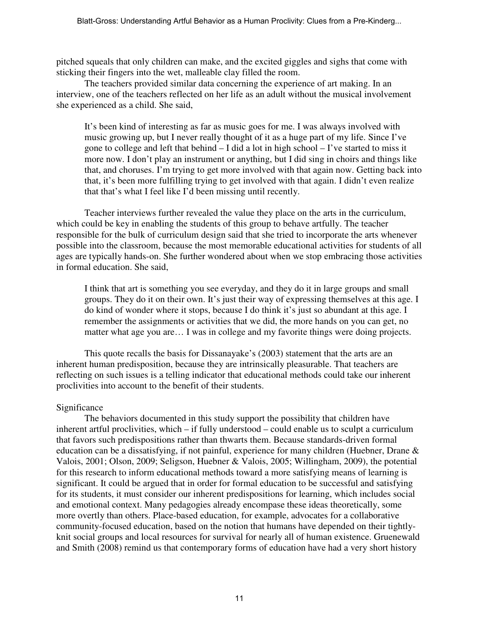pitched squeals that only children can make, and the excited giggles and sighs that come with sticking their fingers into the wet, malleable clay filled the room.

The teachers provided similar data concerning the experience of art making. In an interview, one of the teachers reflected on her life as an adult without the musical involvement she experienced as a child. She said,

It's been kind of interesting as far as music goes for me. I was always involved with music growing up, but I never really thought of it as a huge part of my life. Since I've gone to college and left that behind – I did a lot in high school – I've started to miss it more now. I don't play an instrument or anything, but I did sing in choirs and things like that, and choruses. I'm trying to get more involved with that again now. Getting back into that, it's been more fulfilling trying to get involved with that again. I didn't even realize that that's what I feel like I'd been missing until recently.

Teacher interviews further revealed the value they place on the arts in the curriculum, which could be key in enabling the students of this group to behave artfully. The teacher responsible for the bulk of curriculum design said that she tried to incorporate the arts whenever possible into the classroom, because the most memorable educational activities for students of all ages are typically hands-on. She further wondered about when we stop embracing those activities in formal education. She said,

I think that art is something you see everyday, and they do it in large groups and small groups. They do it on their own. It's just their way of expressing themselves at this age. I do kind of wonder where it stops, because I do think it's just so abundant at this age. I remember the assignments or activities that we did, the more hands on you can get, no matter what age you are… I was in college and my favorite things were doing projects.

This quote recalls the basis for Dissanayake's (2003) statement that the arts are an inherent human predisposition, because they are intrinsically pleasurable. That teachers are reflecting on such issues is a telling indicator that educational methods could take our inherent proclivities into account to the benefit of their students.

# **Significance**

The behaviors documented in this study support the possibility that children have inherent artful proclivities, which – if fully understood – could enable us to sculpt a curriculum that favors such predispositions rather than thwarts them. Because standards-driven formal education can be a dissatisfying, if not painful, experience for many children (Huebner, Drane & Valois, 2001; Olson, 2009; Seligson, Huebner & Valois, 2005; Willingham, 2009), the potential for this research to inform educational methods toward a more satisfying means of learning is significant. It could be argued that in order for formal education to be successful and satisfying for its students, it must consider our inherent predispositions for learning, which includes social and emotional context. Many pedagogies already encompase these ideas theoretically, some more overtly than others. Place-based education, for example, advocates for a collaborative community-focused education, based on the notion that humans have depended on their tightlyknit social groups and local resources for survival for nearly all of human existence. Gruenewald and Smith (2008) remind us that contemporary forms of education have had a very short history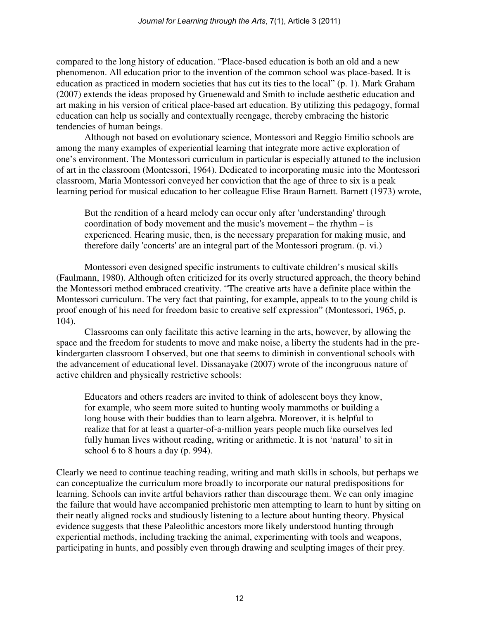compared to the long history of education. "Place-based education is both an old and a new phenomenon. All education prior to the invention of the common school was place-based. It is education as practiced in modern societies that has cut its ties to the local" (p. 1). Mark Graham (2007) extends the ideas proposed by Gruenewald and Smith to include aesthetic education and art making in his version of critical place-based art education. By utilizing this pedagogy, formal education can help us socially and contextually reengage, thereby embracing the historic tendencies of human beings.

Although not based on evolutionary science, Montessori and Reggio Emilio schools are among the many examples of experiential learning that integrate more active exploration of one's environment. The Montessori curriculum in particular is especially attuned to the inclusion of art in the classroom (Montessori, 1964). Dedicated to incorporating music into the Montessori classroom, Maria Montessori conveyed her conviction that the age of three to six is a peak learning period for musical education to her colleague Elise Braun Barnett. Barnett (1973) wrote,

But the rendition of a heard melody can occur only after 'understanding' through coordination of body movement and the music's movement – the rhythm – is experienced. Hearing music, then, is the necessary preparation for making music, and therefore daily 'concerts' are an integral part of the Montessori program. (p. vi.)

Montessori even designed specific instruments to cultivate children's musical skills (Faulmann, 1980). Although often criticized for its overly structured approach, the theory behind the Montessori method embraced creativity. "The creative arts have a definite place within the Montessori curriculum. The very fact that painting, for example, appeals to to the young child is proof enough of his need for freedom basic to creative self expression" (Montessori, 1965, p. 104).

Classrooms can only facilitate this active learning in the arts, however, by allowing the space and the freedom for students to move and make noise, a liberty the students had in the prekindergarten classroom I observed, but one that seems to diminish in conventional schools with the advancement of educational level. Dissanayake (2007) wrote of the incongruous nature of active children and physically restrictive schools:

Educators and others readers are invited to think of adolescent boys they know, for example, who seem more suited to hunting wooly mammoths or building a long house with their buddies than to learn algebra. Moreover, it is helpful to realize that for at least a quarter-of-a-million years people much like ourselves led fully human lives without reading, writing or arithmetic. It is not 'natural' to sit in school 6 to 8 hours a day (p. 994).

Clearly we need to continue teaching reading, writing and math skills in schools, but perhaps we can conceptualize the curriculum more broadly to incorporate our natural predispositions for learning. Schools can invite artful behaviors rather than discourage them. We can only imagine the failure that would have accompanied prehistoric men attempting to learn to hunt by sitting on their neatly aligned rocks and studiously listening to a lecture about hunting theory. Physical evidence suggests that these Paleolithic ancestors more likely understood hunting through experiential methods, including tracking the animal, experimenting with tools and weapons, participating in hunts, and possibly even through drawing and sculpting images of their prey.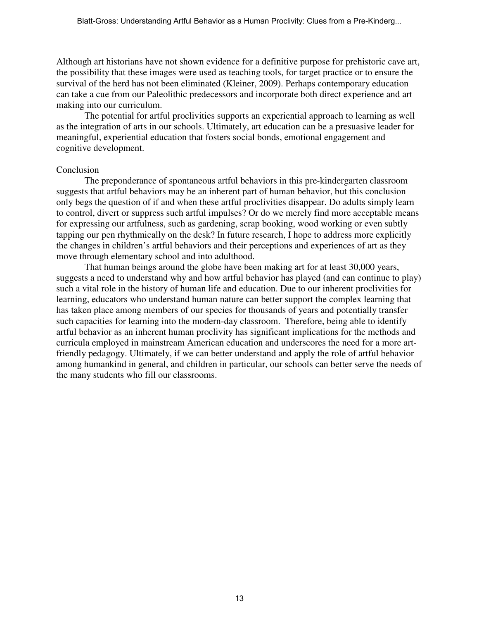Although art historians have not shown evidence for a definitive purpose for prehistoric cave art, the possibility that these images were used as teaching tools, for target practice or to ensure the survival of the herd has not been eliminated (Kleiner, 2009). Perhaps contemporary education can take a cue from our Paleolithic predecessors and incorporate both direct experience and art making into our curriculum.

 The potential for artful proclivities supports an experiential approach to learning as well as the integration of arts in our schools. Ultimately, art education can be a presuasive leader for meaningful, experiential education that fosters social bonds, emotional engagement and cognitive development.

#### **Conclusion**

The preponderance of spontaneous artful behaviors in this pre-kindergarten classroom suggests that artful behaviors may be an inherent part of human behavior, but this conclusion only begs the question of if and when these artful proclivities disappear. Do adults simply learn to control, divert or suppress such artful impulses? Or do we merely find more acceptable means for expressing our artfulness, such as gardening, scrap booking, wood working or even subtly tapping our pen rhythmically on the desk? In future research, I hope to address more explicitly the changes in children's artful behaviors and their perceptions and experiences of art as they move through elementary school and into adulthood.

That human beings around the globe have been making art for at least 30,000 years, suggests a need to understand why and how artful behavior has played (and can continue to play) such a vital role in the history of human life and education. Due to our inherent proclivities for learning, educators who understand human nature can better support the complex learning that has taken place among members of our species for thousands of years and potentially transfer such capacities for learning into the modern-day classroom. Therefore, being able to identify artful behavior as an inherent human proclivity has significant implications for the methods and curricula employed in mainstream American education and underscores the need for a more artfriendly pedagogy. Ultimately, if we can better understand and apply the role of artful behavior among humankind in general, and children in particular, our schools can better serve the needs of the many students who fill our classrooms.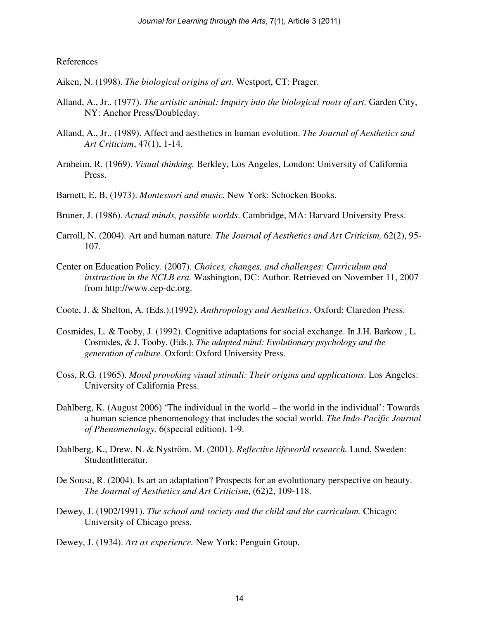#### References

Aiken, N. (1998). *The biological origins of art.* Westport, CT: Prager.

- Alland, A., Jr.. (1977). *The artistic animal: Inquiry into the biological roots of art.* Garden City, NY: Anchor Press/Doubleday.
- Alland, A., Jr.. (1989). Affect and aesthetics in human evolution. *The Journal of Aesthetics and Art Criticism*, 47(1), 1-14.
- Arnheim, R. (1969). *Visual thinking.* Berkley, Los Angeles, London: University of California Press.
- Barnett, E. B. (1973). *Montessori and music.* New York: Schocken Books.
- Bruner, J. (1986). *Actual minds, possible worlds*. Cambridge, MA: Harvard University Press.
- Carroll, N. (2004). Art and human nature. *The Journal of Aesthetics and Art Criticism,* 62(2), 95- 107.
- Center on Education Policy. (2007). *Choices, changes, and challenges: Curriculum and instruction in the NCLB era.* Washington, DC: Author. Retrieved on November 11, 2007 from http://www.cep-dc.org.
- Coote, J. & Shelton, A. (Eds.).(1992). *Anthropology and Aesthetics*. Oxford: Claredon Press.
- Cosmides, L. & Tooby, J. (1992). Cognitive adaptations for social exchange. In J.H. Barkow , L. Cosmides, & J. Tooby. (Eds.), *The adapted mind: Evolutionary psychology and the generation of culture.* Oxford: Oxford University Press.
- Coss, R.G. (1965). *Mood provoking visual stimuli: Their origins and applications*. Los Angeles: University of California Press.
- Dahlberg, K. (August 2006) 'The individual in the world the world in the individual': Towards a human science phenomenology that includes the social world. *The Indo-Pacific Journal of Phenomenology,* 6(special edition), 1-9.
- Dahlberg, K., Drew, N. & Nyström. M. (2001). *Reflective lifeworld research.* Lund, Sweden: Studentlitteratur.
- De Sousa, R. (2004). Is art an adaptation? Prospects for an evolutionary perspective on beauty. *The Journal of Aesthetics and Art Criticism*, (62)2, 109-118.
- Dewey, J. (1902/1991). *The school and society and the child and the curriculum.* Chicago: University of Chicago press.
- Dewey, J. (1934). *Art as experience.* New York: Penguin Group.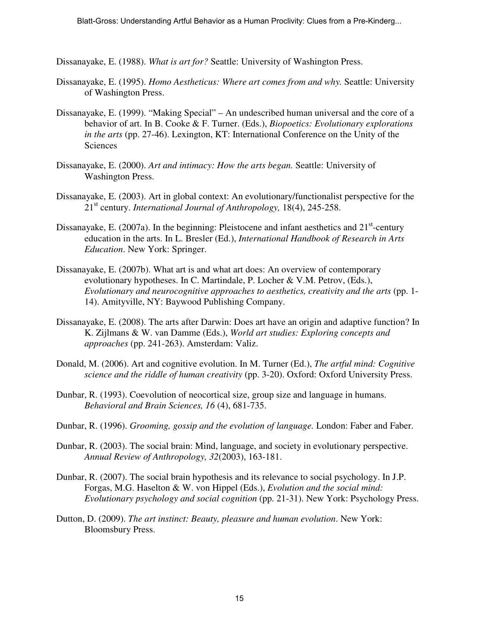Dissanayake, E. (1988). *What is art for?* Seattle: University of Washington Press.

- Dissanayake, E. (1995). *Homo Aestheticus: Where art comes from and why.* Seattle: University of Washington Press.
- Dissanayake, E. (1999). "Making Special" An undescribed human universal and the core of a behavior of art. In B. Cooke & F. Turner. (Eds.), *Biopoetics: Evolutionary explorations in the arts* (pp. 27-46). Lexington, KT: International Conference on the Unity of the Sciences
- Dissanayake, E. (2000). *Art and intimacy: How the arts began.* Seattle: University of Washington Press.
- Dissanayake, E. (2003). Art in global context: An evolutionary/functionalist perspective for the 21st century. *International Journal of Anthropology,* 18(4), 245-258.
- Dissanayake, E. (2007a). In the beginning: Pleistocene and infant aesthetics and  $21<sup>st</sup>$ -century education in the arts. In L. Bresler (Ed.), *International Handbook of Research in Arts Education*. New York: Springer.
- Dissanayake, E. (2007b). What art is and what art does: An overview of contemporary evolutionary hypotheses. In C. Martindale, P. Locher & V.M. Petrov, (Eds.), *Evolutionary and neurocognitive approaches to aesthetics, creativity and the arts* (pp. 1- 14). Amityville, NY: Baywood Publishing Company.
- Dissanayake, E. (2008). The arts after Darwin: Does art have an origin and adaptive function? In K. Zijlmans & W. van Damme (Eds.), *World art studies: Exploring concepts and approaches* (pp. 241-263). Amsterdam: Valiz.
- Donald, M. (2006). Art and cognitive evolution. In M. Turner (Ed.), *The artful mind: Cognitive science and the riddle of human creativity* (pp. 3-20). Oxford: Oxford University Press.
- Dunbar, R. (1993). Coevolution of neocortical size, group size and language in humans. *Behavioral and Brain Sciences, 16* (4), 681-735.
- Dunbar, R. (1996). *Grooming, gossip and the evolution of language.* London: Faber and Faber.
- Dunbar, R. (2003). The social brain: Mind, language, and society in evolutionary perspective. *Annual Review of Anthropology, 32*(2003), 163-181.
- Dunbar, R. (2007). The social brain hypothesis and its relevance to social psychology. In J.P. Forgas, M.G. Haselton & W. von Hippel (Eds.), *Evolution and the social mind: Evolutionary psychology and social cognition* (pp. 21-31). New York: Psychology Press.
- Dutton, D. (2009). *The art instinct: Beauty, pleasure and human evolution*. New York: Bloomsbury Press.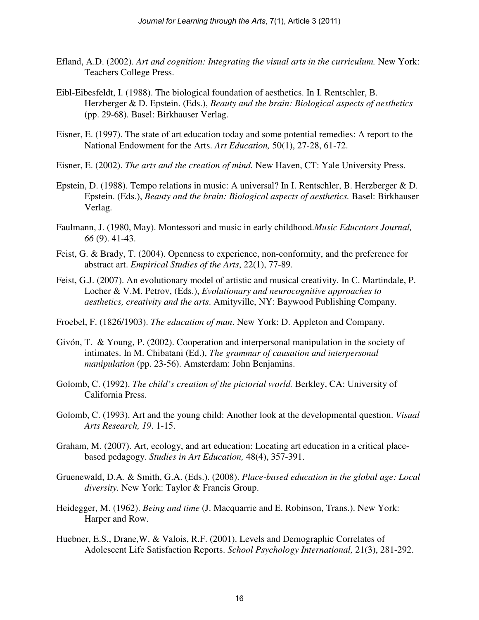- Efland, A.D. (2002). *Art and cognition: Integrating the visual arts in the curriculum.* New York: Teachers College Press.
- Eibl-Eibesfeldt, I. (1988). The biological foundation of aesthetics. In I. Rentschler, B. Herzberger & D. Epstein. (Eds.), *Beauty and the brain: Biological aspects of aesthetics*  (pp. 29-68)*.* Basel: Birkhauser Verlag.
- Eisner, E. (1997). The state of art education today and some potential remedies: A report to the National Endowment for the Arts. *Art Education,* 50(1), 27-28, 61-72.
- Eisner, E. (2002). *The arts and the creation of mind.* New Haven, CT: Yale University Press.
- Epstein, D. (1988). Tempo relations in music: A universal? In I. Rentschler, B. Herzberger & D. Epstein. (Eds.), *Beauty and the brain: Biological aspects of aesthetics.* Basel: Birkhauser Verlag.
- Faulmann, J. (1980, May). Montessori and music in early childhood.*Music Educators Journal, 66* (9). 41-43.
- Feist, G. & Brady, T. (2004). Openness to experience, non-conformity, and the preference for abstract art. *Empirical Studies of the Arts*, 22(1), 77-89.
- Feist, G.J. (2007). An evolutionary model of artistic and musical creativity. In C. Martindale, P. Locher & V.M. Petrov, (Eds.), *Evolutionary and neurocognitive approaches to aesthetics, creativity and the arts*. Amityville, NY: Baywood Publishing Company.
- Froebel, F. (1826/1903). *The education of man*. New York: D. Appleton and Company.
- Givón, T. & Young, P. (2002). Cooperation and interpersonal manipulation in the society of intimates. In M. Chibatani (Ed.), *The grammar of causation and interpersonal manipulation* (pp. 23-56). Amsterdam: John Benjamins.
- Golomb, C. (1992). *The child's creation of the pictorial world.* Berkley, CA: University of California Press.
- Golomb, C. (1993). Art and the young child: Another look at the developmental question. *Visual Arts Research, 19*. 1-15.
- Graham, M. (2007). Art, ecology, and art education: Locating art education in a critical placebased pedagogy. *Studies in Art Education,* 48(4), 357-391.
- Gruenewald, D.A. & Smith, G.A. (Eds.). (2008). *Place-based education in the global age: Local diversity.* New York: Taylor & Francis Group.
- Heidegger, M. (1962). *Being and time* (J. Macquarrie and E. Robinson, Trans.). New York: Harper and Row.
- Huebner, E.S., Drane,W. & Valois, R.F. (2001). Levels and Demographic Correlates of Adolescent Life Satisfaction Reports. *School Psychology International,* 21(3), 281-292.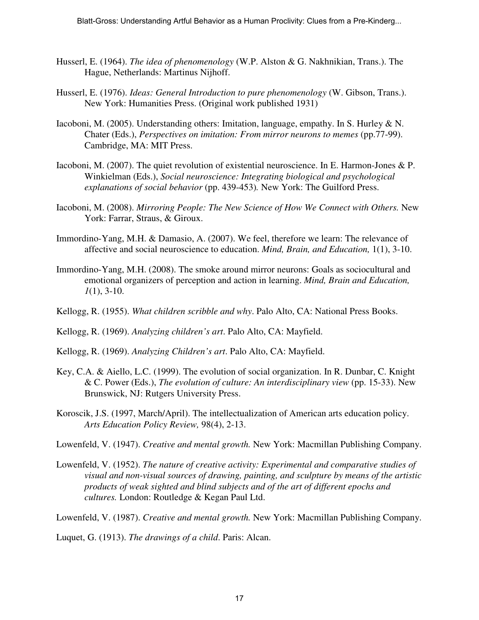- Husserl, E. (1964). *The idea of phenomenology* (W.P. Alston & G. Nakhnikian, Trans.). The Hague, Netherlands: Martinus Nijhoff.
- Husserl, E. (1976). *Ideas: General Introduction to pure phenomenology* (W. Gibson, Trans.). New York: Humanities Press. (Original work published 1931)
- Iacoboni, M. (2005). Understanding others: Imitation, language, empathy. In S. Hurley & N. Chater (Eds.), *Perspectives on imitation: From mirror neurons to memes* (pp.77-99). Cambridge, MA: MIT Press.
- Iacoboni, M. (2007). The quiet revolution of existential neuroscience. In E. Harmon-Jones & P. Winkielman (Eds.), *Social neuroscience: Integrating biological and psychological explanations of social behavior* (pp. 439-453)*.* New York: The Guilford Press.
- Iacoboni, M. (2008). *Mirroring People: The New Science of How We Connect with Others.* New York: Farrar, Straus, & Giroux.
- Immordino-Yang, M.H. & Damasio, A. (2007). We feel, therefore we learn: The relevance of affective and social neuroscience to education. *Mind, Brain, and Education,* 1(1), 3-10.
- Immordino-Yang, M.H. (2008). The smoke around mirror neurons: Goals as sociocultural and emotional organizers of perception and action in learning. *Mind, Brain and Education, 1*(1), 3-10.
- Kellogg, R. (1955). *What children scribble and why*. Palo Alto, CA: National Press Books.
- Kellogg, R. (1969). *Analyzing children's art*. Palo Alto, CA: Mayfield.
- Kellogg, R. (1969). *Analyzing Children's art*. Palo Alto, CA: Mayfield.
- Key, C.A. & Aiello, L.C. (1999). The evolution of social organization. In R. Dunbar, C. Knight & C. Power (Eds.), *The evolution of culture: An interdisciplinary view* (pp. 15-33). New Brunswick, NJ: Rutgers University Press.
- Koroscik, J.S. (1997, March/April). The intellectualization of American arts education policy. *Arts Education Policy Review,* 98(4), 2-13.
- Lowenfeld, V. (1947). *Creative and mental growth.* New York: Macmillan Publishing Company.
- Lowenfeld, V. (1952). *The nature of creative activity: Experimental and comparative studies of visual and non-visual sources of drawing, painting, and sculpture by means of the artistic products of weak sighted and blind subjects and of the art of different epochs and cultures.* London: Routledge & Kegan Paul Ltd.

Lowenfeld, V. (1987). *Creative and mental growth.* New York: Macmillan Publishing Company.

Luquet, G. (1913). *The drawings of a child*. Paris: Alcan.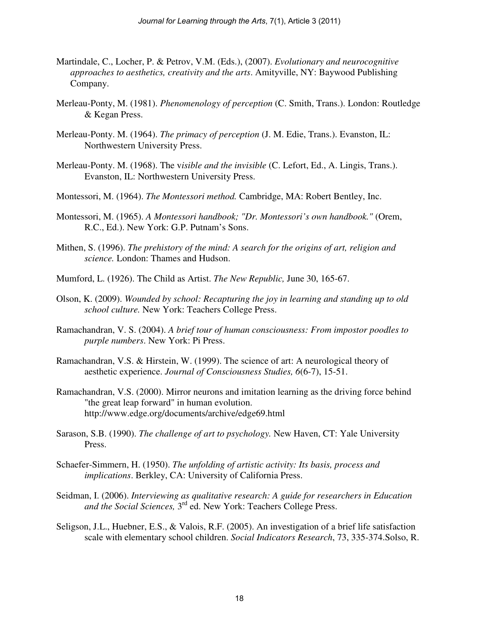- Martindale, C., Locher, P. & Petrov, V.M. (Eds.), (2007). *Evolutionary and neurocognitive approaches to aesthetics, creativity and the arts*. Amityville, NY: Baywood Publishing Company.
- Merleau-Ponty, M. (1981). *Phenomenology of perception* (C. Smith, Trans.). London: Routledge & Kegan Press.
- Merleau-Ponty. M. (1964). *The primacy of perception* (J. M. Edie, Trans.). Evanston, IL: Northwestern University Press.
- Merleau-Ponty. M. (1968). The v*isible and the invisible* (C. Lefort, Ed., A. Lingis, Trans.). Evanston, IL: Northwestern University Press.
- Montessori, M. (1964). *The Montessori method.* Cambridge, MA: Robert Bentley, Inc.
- Montessori, M. (1965). *A Montessori handbook; "Dr. Montessori's own handbook."* (Orem, R.C., Ed.). New York: G.P. Putnam's Sons.
- Mithen, S. (1996). *The prehistory of the mind: A search for the origins of art, religion and science.* London: Thames and Hudson.
- Mumford, L. (1926). The Child as Artist. *The New Republic,* June 30, 165-67.
- Olson, K. (2009). *Wounded by school: Recapturing the joy in learning and standing up to old school culture.* New York: Teachers College Press.
- Ramachandran, V. S. (2004). *A brief tour of human consciousness: From impostor poodles to purple numbers*. New York: Pi Press.
- Ramachandran, V.S. & Hirstein, W. (1999). The science of art: A neurological theory of aesthetic experience. *Journal of Consciousness Studies, 6*(6-7), 15-51.
- Ramachandran, V.S. (2000). Mirror neurons and imitation learning as the driving force behind "the great leap forward" in human evolution. http://www.edge.org/documents/archive/edge69.html
- Sarason, S.B. (1990). *The challenge of art to psychology.* New Haven, CT: Yale University Press.
- Schaefer-Simmern, H. (1950). *The unfolding of artistic activity: Its basis, process and implications*. Berkley, CA: University of California Press.
- Seidman, I. (2006). *Interviewing as qualitative research: A guide for researchers in Education and the Social Sciences,* 3rd ed. New York: Teachers College Press.
- Seligson, J.L., Huebner, E.S., & Valois, R.F. (2005). An investigation of a brief life satisfaction scale with elementary school children. *Social Indicators Research*, 73, 335-374.Solso, R.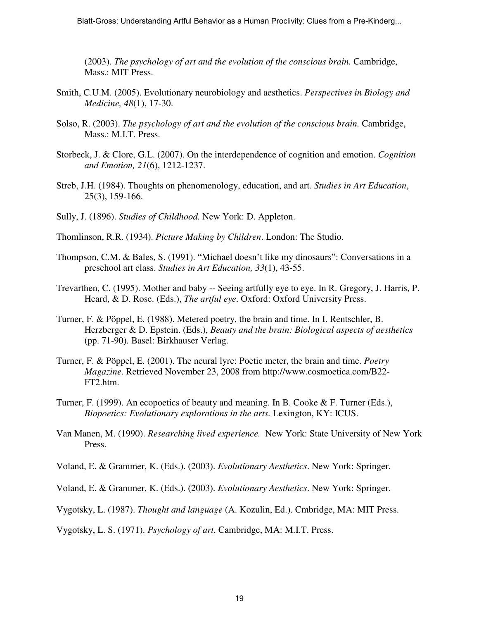(2003). *The psychology of art and the evolution of the conscious brain.* Cambridge, Mass.: MIT Press.

- Smith, C.U.M. (2005). Evolutionary neurobiology and aesthetics. *Perspectives in Biology and Medicine, 48*(1), 17-30.
- Solso, R. (2003). *The psychology of art and the evolution of the conscious brain.* Cambridge, Mass.: M.I.T. Press.
- Storbeck, J. & Clore, G.L. (2007). On the interdependence of cognition and emotion. *Cognition and Emotion, 21*(6), 1212-1237.
- Streb, J.H. (1984). Thoughts on phenomenology, education, and art. *Studies in Art Education*, 25(3), 159-166.
- Sully, J. (1896). *Studies of Childhood.* New York: D. Appleton.
- Thomlinson, R.R. (1934). *Picture Making by Children*. London: The Studio.
- Thompson, C.M. & Bales, S. (1991). "Michael doesn't like my dinosaurs": Conversations in a preschool art class. *Studies in Art Education, 33*(1), 43-55.
- Trevarthen, C. (1995). Mother and baby -- Seeing artfully eye to eye. In R. Gregory, J. Harris, P. Heard, & D. Rose. (Eds.), *The artful eye*. Oxford: Oxford University Press.
- Turner, F. & Pöppel, E. (1988). Metered poetry, the brain and time. In I. Rentschler, B. Herzberger & D. Epstein. (Eds.), *Beauty and the brain: Biological aspects of aesthetics* (pp. 71-90)*.* Basel: Birkhauser Verlag.
- Turner, F. & Pöppel, E. (2001). The neural lyre: Poetic meter, the brain and time. *Poetry Magazine*. Retrieved November 23, 2008 from http://www.cosmoetica.com/B22- FT2.htm.
- Turner, F. (1999). An ecopoetics of beauty and meaning. In B. Cooke & F. Turner (Eds.), *Biopoetics: Evolutionary explorations in the arts.* Lexington, KY: ICUS.
- Van Manen, M. (1990). *Researching lived experience.* New York: State University of New York Press.
- Voland, E. & Grammer, K. (Eds.). (2003). *Evolutionary Aesthetics*. New York: Springer.
- Voland, E. & Grammer, K. (Eds.). (2003). *Evolutionary Aesthetics*. New York: Springer.
- Vygotsky, L. (1987). *Thought and language* (A. Kozulin, Ed.). Cmbridge, MA: MIT Press.

Vygotsky, L. S. (1971). *Psychology of art.* Cambridge, MA: M.I.T. Press.